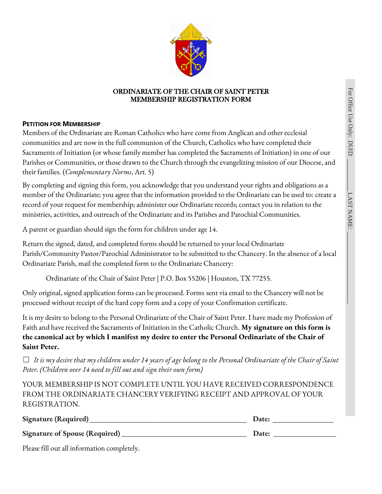$\Gamma$ AST

NAME:



### ORDINARIATE OF THE CHAIR OF SAINT PETER MEMBERSHIP REGISTRATION FORM

## **PETITION FOR MEMBERSHIP**

Members of the Ordinariate are Roman Catholics who have come from Anglican and other ecclesial communities and are now in the full communion of the Church, Catholics who have completed their Sacraments of Initiation (or whose family member has completed the Sacraments of Initiation) in one of our Parishes or Communities, or those drawn to the Church through the evangelizing mission of our Diocese, and their families. (*Complementary Norms*, Art. 5)

By completing and signing this form, you acknowledge that you understand your rights and obligations as a member of the Ordinariate; you agree that the information provided to the Ordinariate can be used to: create a record of your request for membership; administer our Ordinariate records; contact you in relation to the ministries, activities, and outreach of the Ordinariate and its Parishes and Parochial Communities.

A parent or guardian should sign the form for children under age 14.

Return the signed, dated, and completed forms should be returned to your local Ordinariate Parish/Community Pastor/Parochial Administrator to be submitted to the Chancery. In the absence of a local Ordinariate Parish, mail the completed form to the Ordinariate Chancery:

Ordinariate of the Chair of Saint Peter | P.O. Box 55206 | Houston, TX 77255.

Only original, signed application forms can be processed. Forms sent via email to the Chancery will not be processed without receipt of the hard copy form and a copy of your Confirmation certificate.

It is my desire to belong to the Personal Ordinariate of the Chair of Saint Peter. I have made my Profession of Faith and have received the Sacraments of Initiation in the Catholic Church. **My signature on this form is the canonical act by which I manifest my desire to enter the Personal Ordinariate of the Chair of Saint Peter.**

☐ *It is my desire that my children under 14 years of age belong to the Personal Ordinariate of the Chair of Saint Peter. (Children over 14 need to fill out and sign their own form)*

YOUR MEMBERSHIP IS NOT COMPLETE UNTIL YOU HAVE RECEIVED CORRESPONDENCE FROM THE ORDINARIATE CHANCERY VERIFYING RECEIPT AND APPROVAL OF YOUR REGISTRATION.

| Signature (Required)           | <b>Date:</b> |
|--------------------------------|--------------|
| Signature of Spouse (Required) | Date:        |

Please fill out all information completely.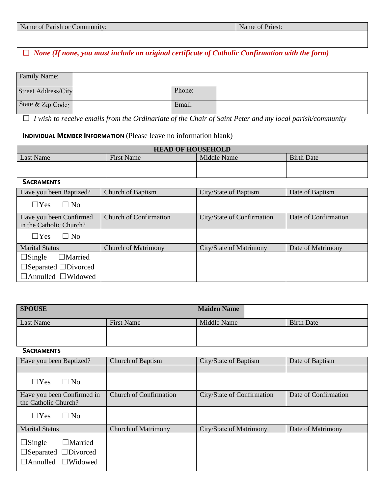| Name of Parish or Community: | Name of Priest: |
|------------------------------|-----------------|
|                              |                 |

☐ *None (If none, you must include an original certificate of Catholic Confirmation with the form)*

| <b>Family Name:</b>        |        |  |
|----------------------------|--------|--|
| <b>Street Address/City</b> | Phone: |  |
| State & Zip Code:          | Email: |  |

☐ *I wish to receive emails from the Ordinariate of the Chair of Saint Peter and my local parish/community*

# **INDIVIDUAL MEMBER INFORMATION** (Please leave no information blank)

| <b>HEAD OF HOUSEHOLD</b> |                   |             |                   |
|--------------------------|-------------------|-------------|-------------------|
| Last Name                | <b>First Name</b> | Middle Name | <b>Birth Date</b> |
|                          |                   |             |                   |
|                          |                   |             |                   |

#### **SACRAMENTS**

| Have you been Baptized?                            | <b>Church of Baptism</b>      | City/State of Baptism      | Date of Baptism      |
|----------------------------------------------------|-------------------------------|----------------------------|----------------------|
| $\Box$ Yes<br>$\Box$ No                            |                               |                            |                      |
| Have you been Confirmed<br>in the Catholic Church? | <b>Church of Confirmation</b> | City/State of Confirmation | Date of Confirmation |
| $\Box$ Yes<br>$\Box$ No                            |                               |                            |                      |
| <b>Marital Status</b>                              | <b>Church of Matrimony</b>    | City/State of Matrimony    | Date of Matrimony    |
| $\Box$ Married<br>$\Box$ Single                    |                               |                            |                      |
| $\Box$ Separated $\Box$ Divorced                   |                               |                            |                      |
| $\Box$ Annulled $\Box$ Widowed                     |                               |                            |                      |

| <b>SPOUSE</b>                                                                                            |                               | <b>Maiden Name</b>         |                      |
|----------------------------------------------------------------------------------------------------------|-------------------------------|----------------------------|----------------------|
| <b>Last Name</b>                                                                                         | <b>First Name</b>             | Middle Name                | <b>Birth Date</b>    |
|                                                                                                          |                               |                            |                      |
| <b>SACRAMENTS</b>                                                                                        |                               |                            |                      |
| Have you been Baptized?                                                                                  | <b>Church of Baptism</b>      | City/State of Baptism      | Date of Baptism      |
|                                                                                                          |                               |                            |                      |
| $\Box$ Yes<br>$\Box$ No                                                                                  |                               |                            |                      |
| Have you been Confirmed in<br>the Catholic Church?                                                       | <b>Church of Confirmation</b> | City/State of Confirmation | Date of Confirmation |
| $\Box$ No<br>$\Box$ Yes                                                                                  |                               |                            |                      |
| <b>Marital Status</b>                                                                                    | <b>Church of Matrimony</b>    | City/State of Matrimony    | Date of Matrimony    |
| $\Box$ Single<br>$\Box$ Married<br>$\Box$ Separated $\Box$ Divorced<br>$\Box$ Annulled<br>$\Box$ Widowed |                               |                            |                      |